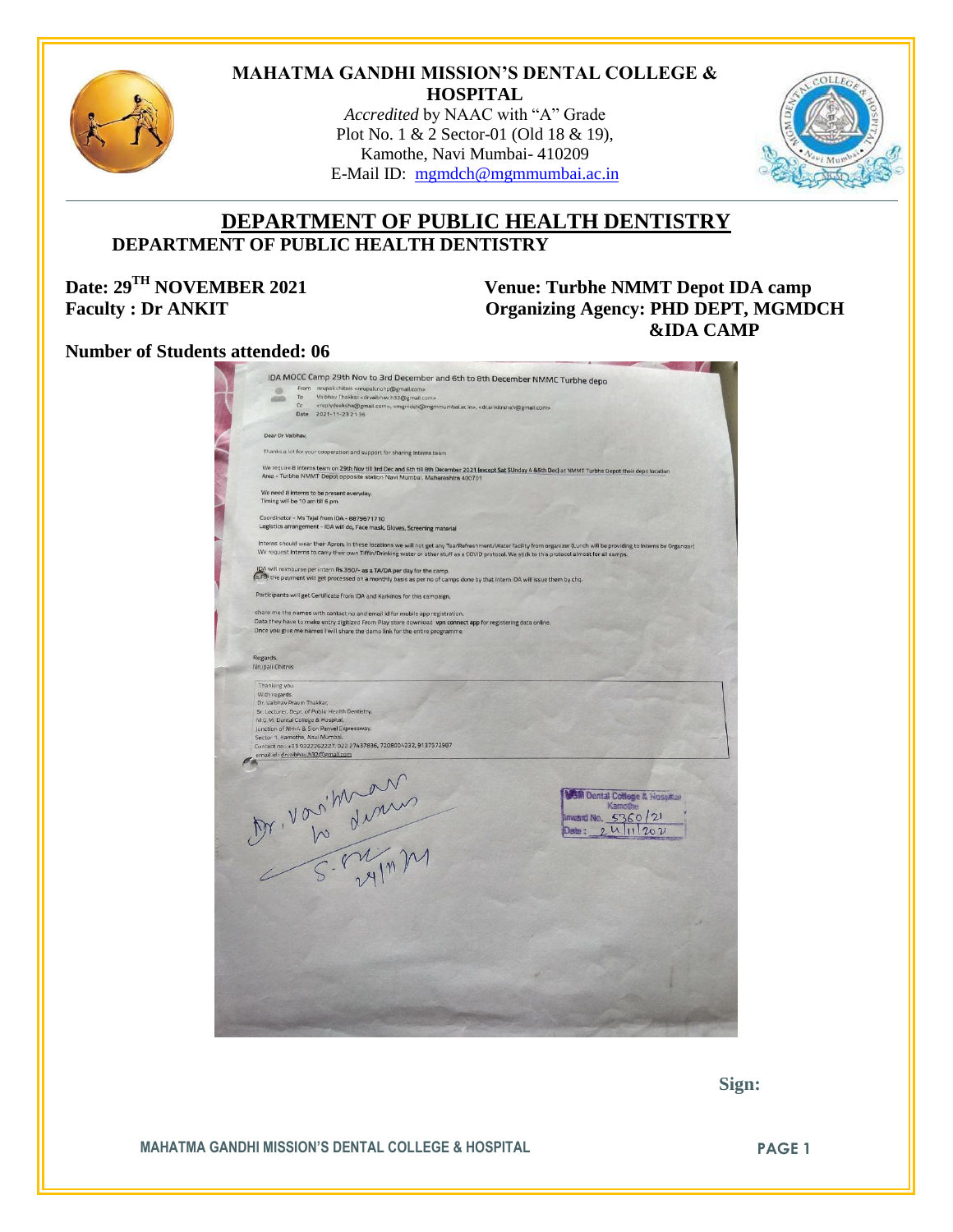

#### **MAHATMA GANDHI MISSION'S DENTAL COLLEGE & HOSPITAL**

*Accredited* by NAAC with "A" Grade Plot No. 1 & 2 Sector-01 (Old 18 & 19), Kamothe, Navi Mumbai- 410209 E-Mail ID: [mgmdch@mgmmumbai.ac.in](mailto:mgmdch@mgmmumbai.ac.in)



## **DEPARTMENT OF PUBLIC HEALTH DENTISTRY DEPARTMENT OF PUBLIC HEALTH DENTISTRY**

 **Date: 29TH NOVEMBER 2021 Venue: Turbhe NMMT Depot IDA camp** Faculty : Dr ANKIT **CONSERVING Agency: PHD DEPT, MGMDCH &IDA CAMP**

### **Number of Students attended: 06**

| IDA MOCC Camp 29th Nov to 3rd December and 6th to 8th December NMMC Turbhe depo                                                                                                                                                                                                                                            |                                                    |
|----------------------------------------------------------------------------------------------------------------------------------------------------------------------------------------------------------------------------------------------------------------------------------------------------------------------------|----------------------------------------------------|
| From nrupali chitnis <nrupali.nohp@gmail.com></nrupali.nohp@gmail.com>                                                                                                                                                                                                                                                     |                                                    |
| Vaibhav Thakkar <drvaibhav.h32@gmail.com><br/>To<br/>Cc</drvaibhav.h32@gmail.com>                                                                                                                                                                                                                                          |                                                    |
| <replydeeksha@gmail.com>, <rngmdch@mgmmumbai.ac.in>, <dr.ankitrshah@gmail.com><br/>2021-11-23 21:36<br/>Date</dr.ankitrshah@gmail.com></rngmdch@mgmmumbai.ac.in></replydeeksha@gmail.com>                                                                                                                                  |                                                    |
| Dear Dr Vaibhay.                                                                                                                                                                                                                                                                                                           |                                                    |
| Thanks a lot for your cooperation and support for sharing Interns team                                                                                                                                                                                                                                                     |                                                    |
|                                                                                                                                                                                                                                                                                                                            |                                                    |
| We require 8 interns team on 29th Nov till 3rd Dec and 6th till 8th December 2021 (except Sat 5Unday 4 &5th Dec) at NMMT Turbhe Depot their depo location<br>Area - Turbhe NMMT Depot opposite station Navi Mumbai, Maharashtra 400701                                                                                     |                                                    |
| We need 8 interns to be present everyday.<br>Timing will be 10 am till 6 pm                                                                                                                                                                                                                                                |                                                    |
| Coordinator - Ms Tejal from IDA - 8879671710                                                                                                                                                                                                                                                                               |                                                    |
| Logistics arrangement - IDA will do, Face mask, Gloves, Screening material                                                                                                                                                                                                                                                 |                                                    |
| Interns should wear their Apron, In these locations we will not get any Tea/Refreshment/Water facility from organizer (Lunch will be providing to Interns by Organizer)<br>We request Interns to carry their own Tiffin/Drinking water or other stuff as a COVID protocol. We stick to this protocol almost for all camps. |                                                    |
| IDA will reimburse per intern Rs.350/- as a TA/DA per day for the camp.                                                                                                                                                                                                                                                    |                                                    |
| (a,Fd) the payment will get processed on a monthly basis as per no of camps done by that Intern IDA will issue them by chq.                                                                                                                                                                                                |                                                    |
| Participants will get Certificate from IDA and Karkinos for this campaign,                                                                                                                                                                                                                                                 |                                                    |
| share me the names with contact no and email id for mobile app registration.                                                                                                                                                                                                                                               |                                                    |
| Data they have to make entry digitized From Play store download vpn connect app for registering data online.                                                                                                                                                                                                               |                                                    |
| Once you give me names I will share the demo link for the entire programme                                                                                                                                                                                                                                                 |                                                    |
|                                                                                                                                                                                                                                                                                                                            |                                                    |
| Regards,<br>Nrupali Chitnis                                                                                                                                                                                                                                                                                                |                                                    |
|                                                                                                                                                                                                                                                                                                                            |                                                    |
| Thanking you.<br>With regards,                                                                                                                                                                                                                                                                                             |                                                    |
| Dr. Vaibhav Pravin Thakkar,<br>Sr. Lecturer, Dept. of Public Health Dentistry,                                                                                                                                                                                                                                             |                                                    |
| M.G.M. Dental College & Hospital,                                                                                                                                                                                                                                                                                          |                                                    |
| Junction of NH-4 & Sion Panvel Expressway,<br>Sector 1, Kamothe, Navi Mumbai.                                                                                                                                                                                                                                              |                                                    |
| Contact no: +91 9322262227, 022 27437836, 7208004232, 9137572987                                                                                                                                                                                                                                                           |                                                    |
| ernail id : drvaibhav.h32@gmail.com                                                                                                                                                                                                                                                                                        |                                                    |
|                                                                                                                                                                                                                                                                                                                            |                                                    |
|                                                                                                                                                                                                                                                                                                                            |                                                    |
|                                                                                                                                                                                                                                                                                                                            | <b>SM Dental College &amp; Hosphan</b><br>Karasthe |
|                                                                                                                                                                                                                                                                                                                            | Immard No. $5360/21$                               |
|                                                                                                                                                                                                                                                                                                                            | 11202                                              |
|                                                                                                                                                                                                                                                                                                                            |                                                    |
|                                                                                                                                                                                                                                                                                                                            |                                                    |
|                                                                                                                                                                                                                                                                                                                            |                                                    |
|                                                                                                                                                                                                                                                                                                                            |                                                    |
|                                                                                                                                                                                                                                                                                                                            |                                                    |
| Dr. Vousinaux                                                                                                                                                                                                                                                                                                              |                                                    |
|                                                                                                                                                                                                                                                                                                                            |                                                    |
|                                                                                                                                                                                                                                                                                                                            |                                                    |
|                                                                                                                                                                                                                                                                                                                            |                                                    |
|                                                                                                                                                                                                                                                                                                                            |                                                    |
|                                                                                                                                                                                                                                                                                                                            |                                                    |
|                                                                                                                                                                                                                                                                                                                            |                                                    |
|                                                                                                                                                                                                                                                                                                                            |                                                    |
|                                                                                                                                                                                                                                                                                                                            |                                                    |
|                                                                                                                                                                                                                                                                                                                            |                                                    |

 **Sign:**

**MAHATMA GANDHI MISSION'S DENTAL COLLEGE & HOSPITAL PAGE 1**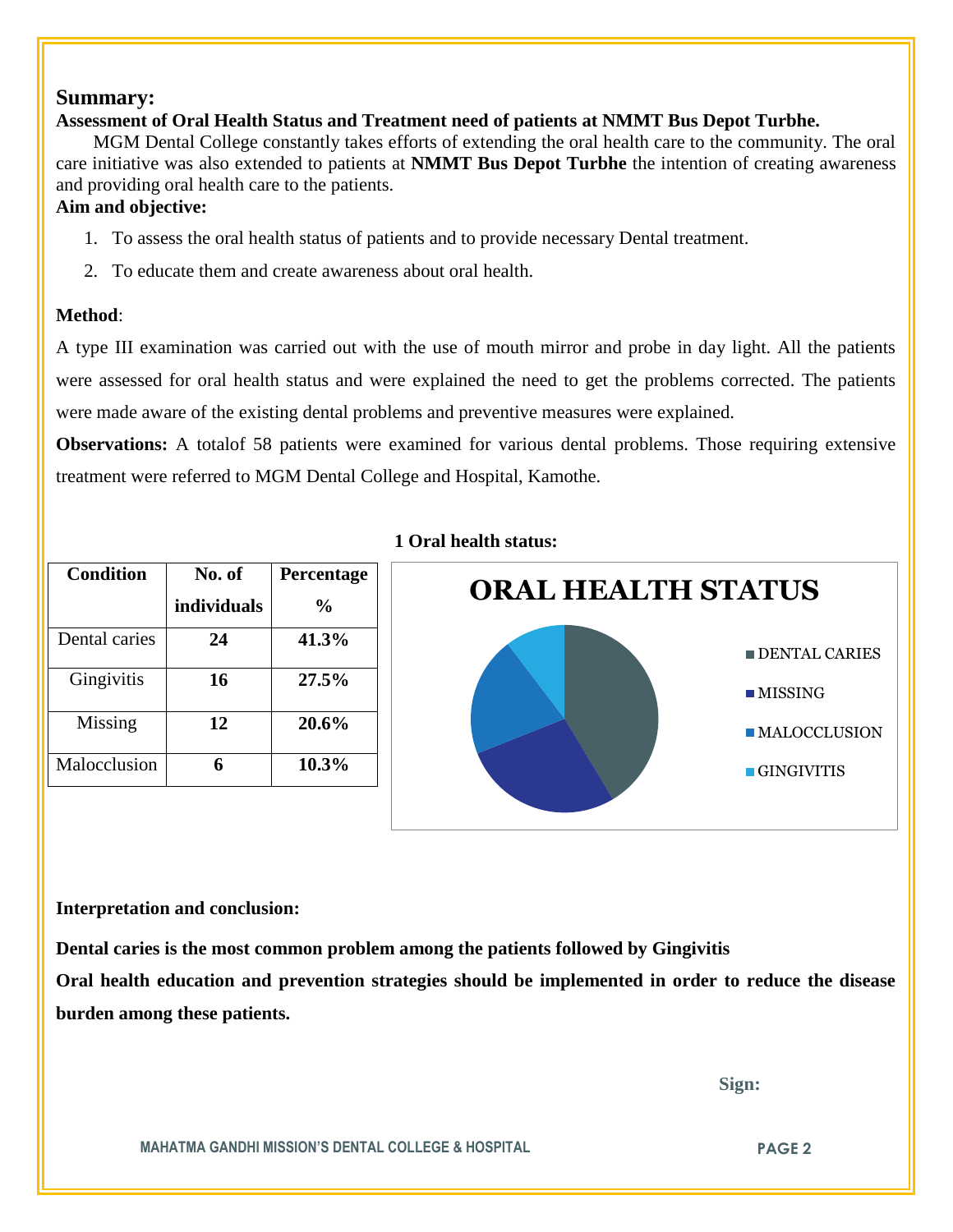#### **Summary:**

**Assessment of Oral Health Status and Treatment need of patients at NMMT Bus Depot Turbhe.**

 MGM Dental College constantly takes efforts of extending the oral health care to the community. The oral care initiative was also extended to patients at **NMMT Bus Depot Turbhe** the intention of creating awareness and providing oral health care to the patients.

### **Aim and objective:**

- 1. To assess the oral health status of patients and to provide necessary Dental treatment.
- 2. To educate them and create awareness about oral health.

#### **Method**:

A type III examination was carried out with the use of mouth mirror and probe in day light. All the patients were assessed for oral health status and were explained the need to get the problems corrected. The patients were made aware of the existing dental problems and preventive measures were explained.

**Observations:** A totalof 58 patients were examined for various dental problems. Those requiring extensive treatment were referred to MGM Dental College and Hospital, Kamothe.

| <b>Condition</b> | No. of      | <b>Percentage</b> |
|------------------|-------------|-------------------|
|                  | individuals | $\frac{6}{10}$    |
| Dental caries    | 24          | 41.3%             |
| Gingivitis       | 16          | 27.5%             |
| Missing          | 12          | 20.6%             |
| Malocclusion     |             | $10.3\%$          |

#### **1 Oral health status:**



#### **Interpretation and conclusion:**

**Dental caries is the most common problem among the patients followed by Gingivitis Oral health education and prevention strategies should be implemented in order to reduce the disease burden among these patients.**

 **Sign:**

**MAHATMA GANDHI MISSION'S DENTAL COLLEGE & HOSPITAL PAGE 2**